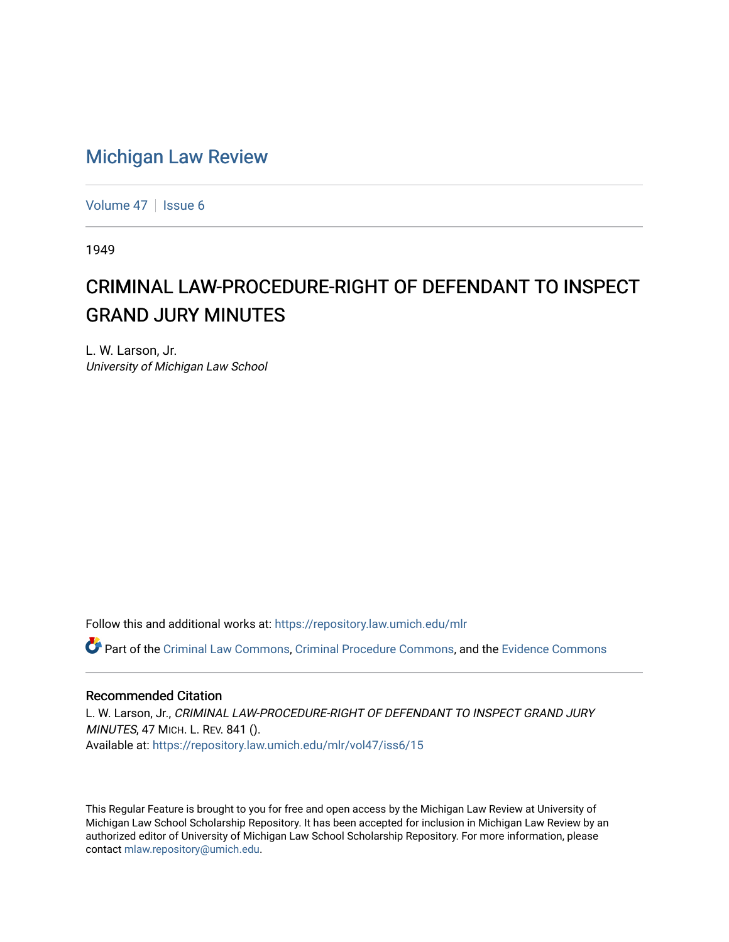## [Michigan Law Review](https://repository.law.umich.edu/mlr)

[Volume 47](https://repository.law.umich.edu/mlr/vol47) | [Issue 6](https://repository.law.umich.edu/mlr/vol47/iss6)

1949

## CRIMINAL LAW-PROCEDURE-RIGHT OF DEFENDANT TO INSPECT GRAND JURY MINUTES

L. W. Larson, Jr. University of Michigan Law School

Follow this and additional works at: [https://repository.law.umich.edu/mlr](https://repository.law.umich.edu/mlr?utm_source=repository.law.umich.edu%2Fmlr%2Fvol47%2Fiss6%2F15&utm_medium=PDF&utm_campaign=PDFCoverPages) 

Part of the [Criminal Law Commons,](http://network.bepress.com/hgg/discipline/912?utm_source=repository.law.umich.edu%2Fmlr%2Fvol47%2Fiss6%2F15&utm_medium=PDF&utm_campaign=PDFCoverPages) [Criminal Procedure Commons,](http://network.bepress.com/hgg/discipline/1073?utm_source=repository.law.umich.edu%2Fmlr%2Fvol47%2Fiss6%2F15&utm_medium=PDF&utm_campaign=PDFCoverPages) and the [Evidence Commons](http://network.bepress.com/hgg/discipline/601?utm_source=repository.law.umich.edu%2Fmlr%2Fvol47%2Fiss6%2F15&utm_medium=PDF&utm_campaign=PDFCoverPages) 

## Recommended Citation

L. W. Larson, Jr., CRIMINAL LAW-PROCEDURE-RIGHT OF DEFENDANT TO INSPECT GRAND JURY MINUTES, 47 MICH. L. REV. 841 (). Available at: [https://repository.law.umich.edu/mlr/vol47/iss6/15](https://repository.law.umich.edu/mlr/vol47/iss6/15?utm_source=repository.law.umich.edu%2Fmlr%2Fvol47%2Fiss6%2F15&utm_medium=PDF&utm_campaign=PDFCoverPages) 

This Regular Feature is brought to you for free and open access by the Michigan Law Review at University of Michigan Law School Scholarship Repository. It has been accepted for inclusion in Michigan Law Review by an authorized editor of University of Michigan Law School Scholarship Repository. For more information, please contact [mlaw.repository@umich.edu](mailto:mlaw.repository@umich.edu).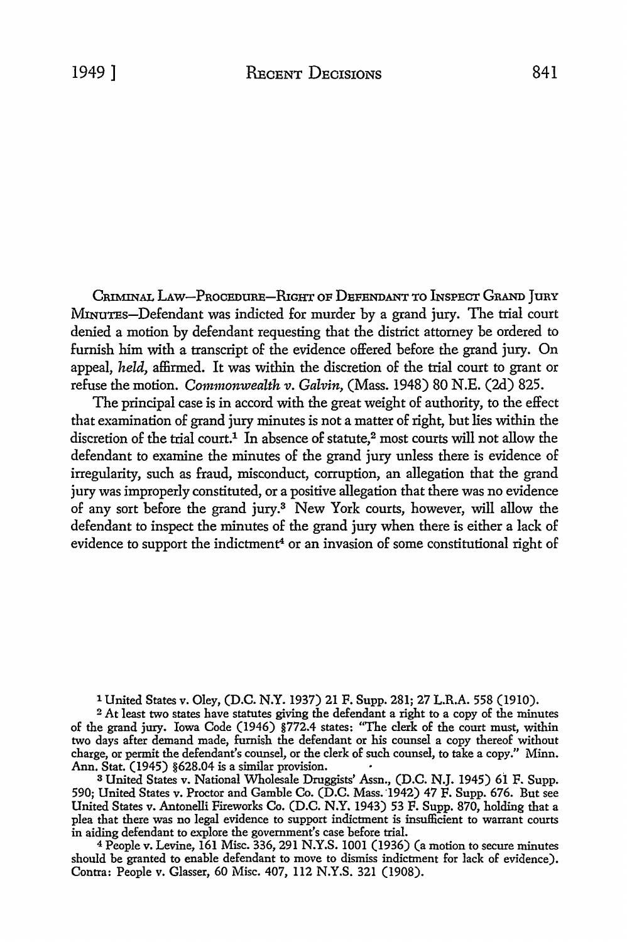CRIMINAL LAW-PROCEDURE-RIGHT OF DEFENDANT TO INSPECT GRAND JURY MINUTES-Defendant was indicted for murder by a grand jury. The trial court denied a motion by defendant requesting that the district attorney be ordered to furnish him with a transcript of the evidence offered before the grand jury. On appeal, *held,* affirmed. It was within the discretion of the trial court to grant or refuse the motion. *Commonwealth v. Galvin,* (Mass. 1948) 80 N.E. (2d) 825.

The principal case is in accord with the great weight of authority, to the effect that examination of grand jury minutes is not a matter of right, but lies within the discretion of the trial court.<sup>1</sup> In absence of statute,<sup>2</sup> most courts will not allow the defendant to examine the minutes of the grand jury unless there is evidence of irregularity, such as fraud, misconduct, corruption, an allegation that the grand jury was improperly constituted, or a positive allegation that there was no evidence of any sort before the grand jury.3 New York courts, however, will allow the defendant to inspect the minutes of the grand jury when there is either a lack of evidence to support the indictment<sup>4</sup> or an invasion of some constitutional right of

1 United States v. Oley, (D.C. N.Y. 1937) 21 F. Supp. 281; 27 L.R.A. 558 (1910).

<sup>2</sup>At least two states have statutes giving the defendant a right to a copy of the minutes of the grand jury. Iowa Code (1946) §772.4 states: ''The clerk of the court must, within two days after demand made, furnish the defendant or his counsel a copy thereof without charge, or permit the defendant's counsel, or the clerk of such counsel, to take a copy.'' Minn. Ann. Stat. (1945) §628.04 is a similar provision.

<sup>3</sup> United States v. National Wholesale Druggists' Assn., (D.C. N.J. 1945) 61 F. Supp. 590; United States v. Proctor and Gamble Co. (D.C. Mass. ·1942) 47 F. Supp. 676. But see United States v. Antonelli Fireworks Co. (D.C. N.Y. 1943) 53 F. Supp. 870, holding that a plea that there was no legal evidence to support indictment is insufficient to warrant courts in aiding defendant to explore the government's case before trial.

<sup>4</sup>People v. Levine, 161 Misc. 336,291 N.Y.S. 1001 (1936) (a motion to secure minutes should be granted to enable defendant to move to dismiss indictment for lack of evidence). Contra: People v. Glasser, 60 Misc. 407, 112 N.Y.S. 321 (1908).